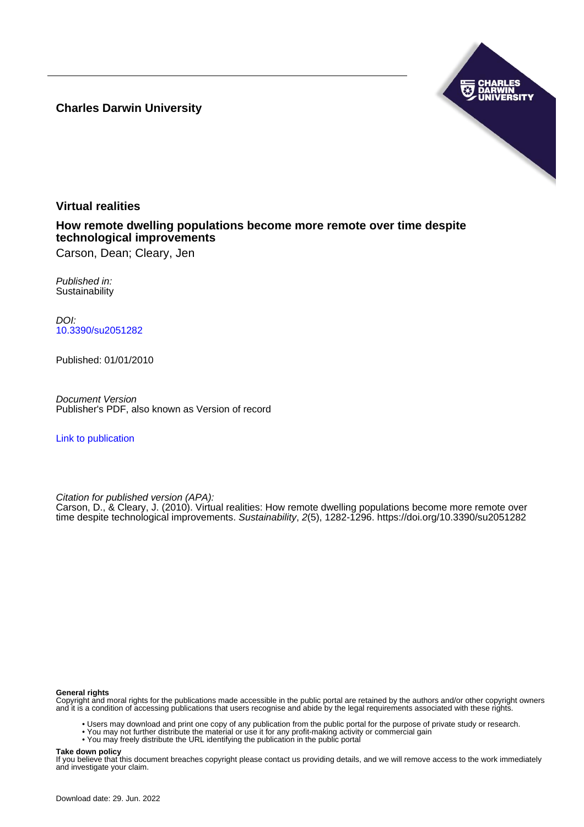**Charles Darwin University**



# **Virtual realities**

**How remote dwelling populations become more remote over time despite technological improvements**

Carson, Dean; Cleary, Jen

Published in: **Sustainability** 

DOI: [10.3390/su2051282](https://doi.org/10.3390/su2051282)

Published: 01/01/2010

Document Version Publisher's PDF, also known as Version of record

[Link to publication](https://researchers.cdu.edu.au/en/publications/4fd1e444-cc4e-4c20-bd28-bff8553e2d5d)

Citation for published version (APA):

Carson, D., & Cleary, J. (2010). Virtual realities: How remote dwelling populations become more remote over time despite technological improvements. Sustainability, 2(5), 1282-1296.<https://doi.org/10.3390/su2051282>

#### **General rights**

Copyright and moral rights for the publications made accessible in the public portal are retained by the authors and/or other copyright owners and it is a condition of accessing publications that users recognise and abide by the legal requirements associated with these rights.

- Users may download and print one copy of any publication from the public portal for the purpose of private study or research.
- You may not further distribute the material or use it for any profit-making activity or commercial gain
- You may freely distribute the URL identifying the publication in the public portal

#### **Take down policy**

If you believe that this document breaches copyright please contact us providing details, and we will remove access to the work immediately and investigate your claim.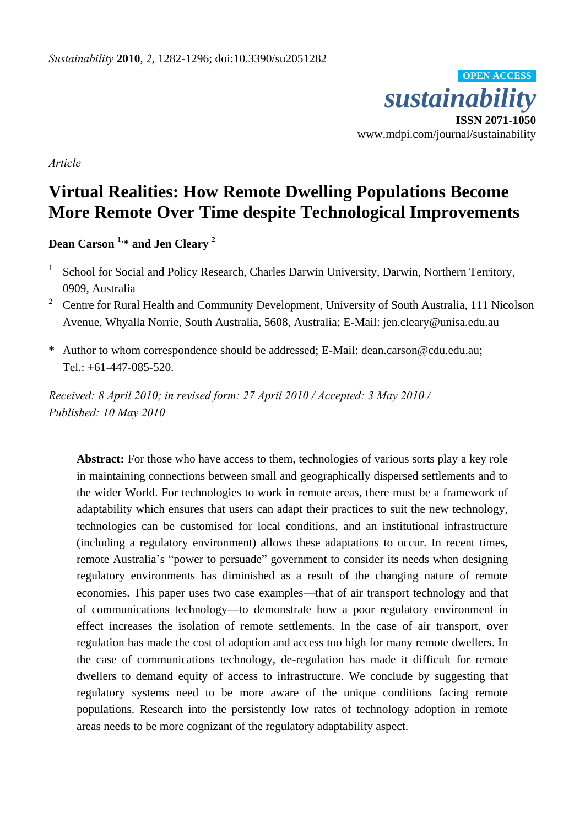

*Article* 

# **Virtual Realities: How Remote Dwelling Populations Become More Remote Over Time despite Technological Improvements**

**Dean Carson 1,\* and Jen Cleary <sup>2</sup>**

- 1 School for Social and Policy Research, Charles Darwin University, Darwin, Northern Territory, 0909, Australia
- <sup>2</sup> Centre for Rural Health and Community Development, University of South Australia, 111 Nicolson Avenue, Whyalla Norrie, South Australia, 5608, Australia; E-Mail: jen.cleary@unisa.edu.au
- \* Author to whom correspondence should be addressed; E-Mail: dean.carson@cdu.edu.au; Tel.: +61-447-085-520.

*Received: 8 April 2010; in revised form: 27 April 2010 / Accepted: 3 May 2010 / Published: 10 May 2010*

Abstract: For those who have access to them, technologies of various sorts play a key role in maintaining connections between small and geographically dispersed settlements and to the wider World. For technologies to work in remote areas, there must be a framework of adaptability which ensures that users can adapt their practices to suit the new technology, technologies can be customised for local conditions, and an institutional infrastructure (including a regulatory environment) allows these adaptations to occur. In recent times, remote Australia's "power to persuade" government to consider its needs when designing regulatory environments has diminished as a result of the changing nature of remote economies. This paper uses two case examples—that of air transport technology and that of communications technology—to demonstrate how a poor regulatory environment in effect increases the isolation of remote settlements. In the case of air transport, over regulation has made the cost of adoption and access too high for many remote dwellers. In the case of communications technology, de-regulation has made it difficult for remote dwellers to demand equity of access to infrastructure. We conclude by suggesting that regulatory systems need to be more aware of the unique conditions facing remote populations. Research into the persistently low rates of technology adoption in remote areas needs to be more cognizant of the regulatory adaptability aspect.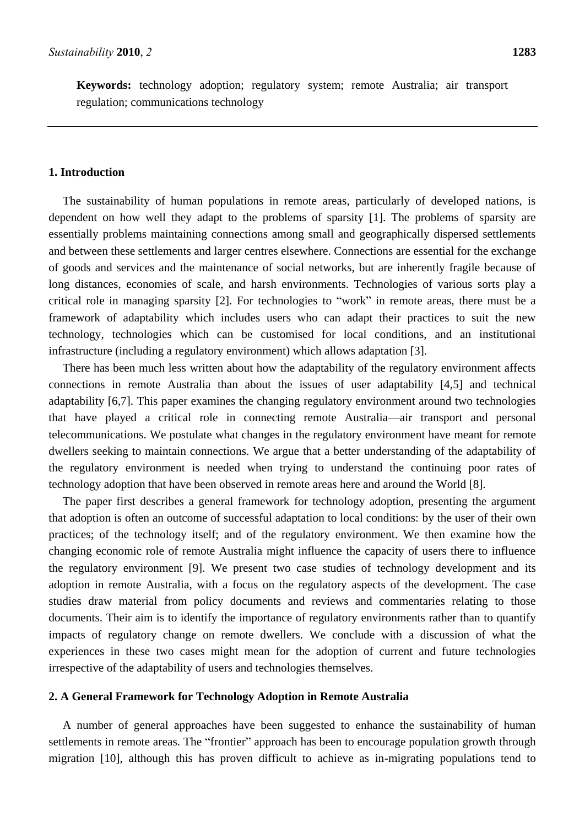**Keywords:** technology adoption; regulatory system; remote Australia; air transport regulation; communications technology

# **1. Introduction**

The sustainability of human populations in remote areas, particularly of developed nations, is dependent on how well they adapt to the problems of sparsity [1]. The problems of sparsity are essentially problems maintaining connections among small and geographically dispersed settlements and between these settlements and larger centres elsewhere. Connections are essential for the exchange of goods and services and the maintenance of social networks, but are inherently fragile because of long distances, economies of scale, and harsh environments. Technologies of various sorts play a critical role in managing sparsity [2]. For technologies to "work" in remote areas, there must be a framework of adaptability which includes users who can adapt their practices to suit the new technology, technologies which can be customised for local conditions, and an institutional infrastructure (including a regulatory environment) which allows adaptation [3].

There has been much less written about how the adaptability of the regulatory environment affects connections in remote Australia than about the issues of user adaptability [4,5] and technical adaptability [6,7]. This paper examines the changing regulatory environment around two technologies that have played a critical role in connecting remote Australia—air transport and personal telecommunications. We postulate what changes in the regulatory environment have meant for remote dwellers seeking to maintain connections. We argue that a better understanding of the adaptability of the regulatory environment is needed when trying to understand the continuing poor rates of technology adoption that have been observed in remote areas here and around the World [8].

The paper first describes a general framework for technology adoption, presenting the argument that adoption is often an outcome of successful adaptation to local conditions: by the user of their own practices; of the technology itself; and of the regulatory environment. We then examine how the changing economic role of remote Australia might influence the capacity of users there to influence the regulatory environment [9]. We present two case studies of technology development and its adoption in remote Australia, with a focus on the regulatory aspects of the development. The case studies draw material from policy documents and reviews and commentaries relating to those documents. Their aim is to identify the importance of regulatory environments rather than to quantify impacts of regulatory change on remote dwellers. We conclude with a discussion of what the experiences in these two cases might mean for the adoption of current and future technologies irrespective of the adaptability of users and technologies themselves.

# **2. A General Framework for Technology Adoption in Remote Australia**

A number of general approaches have been suggested to enhance the sustainability of human settlements in remote areas. The "frontier" approach has been to encourage population growth through migration [10], although this has proven difficult to achieve as in-migrating populations tend to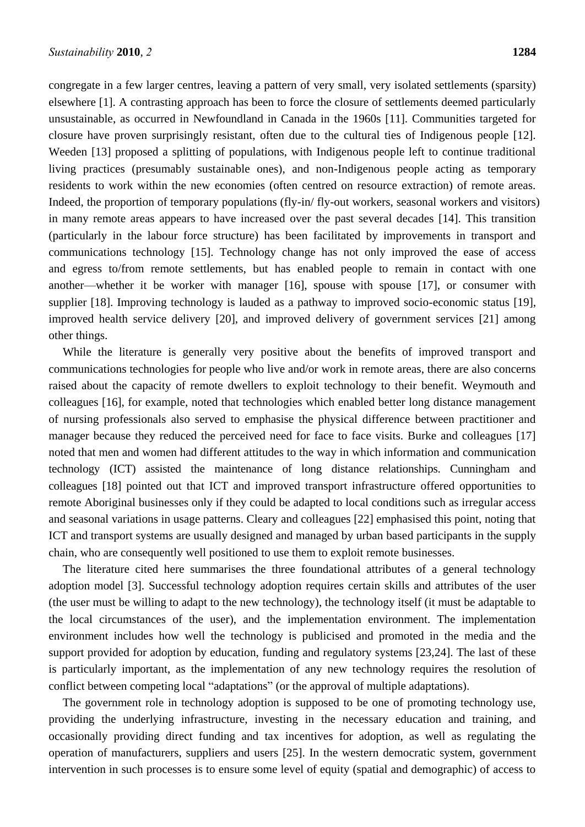congregate in a few larger centres, leaving a pattern of very small, very isolated settlements (sparsity) elsewhere [1]. A contrasting approach has been to force the closure of settlements deemed particularly unsustainable, as occurred in Newfoundland in Canada in the 1960s [11]. Communities targeted for closure have proven surprisingly resistant, often due to the cultural ties of Indigenous people [12]. Weeden [13] proposed a splitting of populations, with Indigenous people left to continue traditional living practices (presumably sustainable ones), and non-Indigenous people acting as temporary residents to work within the new economies (often centred on resource extraction) of remote areas. Indeed, the proportion of temporary populations (fly-in/ fly-out workers, seasonal workers and visitors) in many remote areas appears to have increased over the past several decades [14]. This transition (particularly in the labour force structure) has been facilitated by improvements in transport and communications technology [15]. Technology change has not only improved the ease of access and egress to/from remote settlements, but has enabled people to remain in contact with one another—whether it be worker with manager [16], spouse with spouse [17], or consumer with supplier [18]. Improving technology is lauded as a pathway to improved socio-economic status [19], improved health service delivery [20], and improved delivery of government services [21] among other things.

While the literature is generally very positive about the benefits of improved transport and communications technologies for people who live and/or work in remote areas, there are also concerns raised about the capacity of remote dwellers to exploit technology to their benefit. Weymouth and colleagues [16], for example, noted that technologies which enabled better long distance management of nursing professionals also served to emphasise the physical difference between practitioner and manager because they reduced the perceived need for face to face visits. Burke and colleagues [17] noted that men and women had different attitudes to the way in which information and communication technology (ICT) assisted the maintenance of long distance relationships. Cunningham and colleagues [18] pointed out that ICT and improved transport infrastructure offered opportunities to remote Aboriginal businesses only if they could be adapted to local conditions such as irregular access and seasonal variations in usage patterns. Cleary and colleagues [22] emphasised this point, noting that ICT and transport systems are usually designed and managed by urban based participants in the supply chain, who are consequently well positioned to use them to exploit remote businesses.

The literature cited here summarises the three foundational attributes of a general technology adoption model [3]. Successful technology adoption requires certain skills and attributes of the user (the user must be willing to adapt to the new technology), the technology itself (it must be adaptable to the local circumstances of the user), and the implementation environment. The implementation environment includes how well the technology is publicised and promoted in the media and the support provided for adoption by education, funding and regulatory systems [23,24]. The last of these is particularly important, as the implementation of any new technology requires the resolution of conflict between competing local "adaptations" (or the approval of multiple adaptations).

The government role in technology adoption is supposed to be one of promoting technology use, providing the underlying infrastructure, investing in the necessary education and training, and occasionally providing direct funding and tax incentives for adoption, as well as regulating the operation of manufacturers, suppliers and users [25]. In the western democratic system, government intervention in such processes is to ensure some level of equity (spatial and demographic) of access to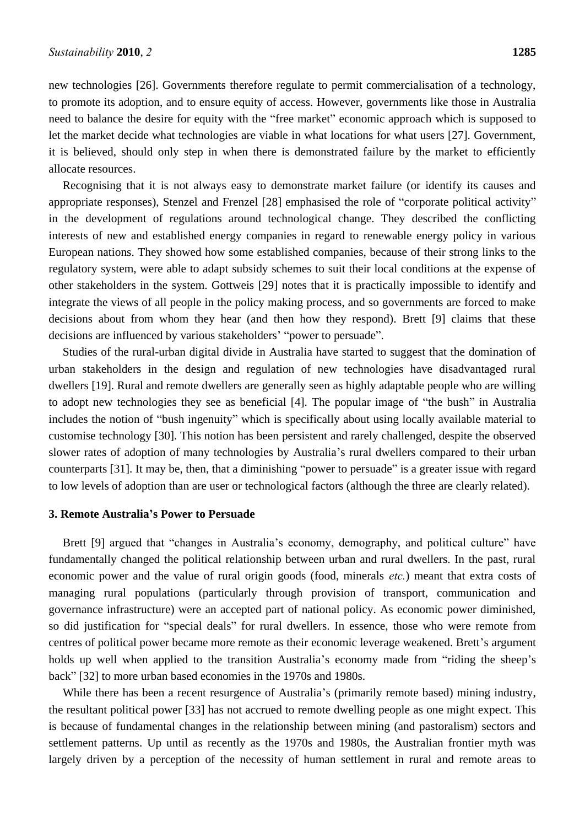new technologies [26]. Governments therefore regulate to permit commercialisation of a technology, to promote its adoption, and to ensure equity of access. However, governments like those in Australia need to balance the desire for equity with the "free market" economic approach which is supposed to let the market decide what technologies are viable in what locations for what users [27]. Government, it is believed, should only step in when there is demonstrated failure by the market to efficiently allocate resources.

Recognising that it is not always easy to demonstrate market failure (or identify its causes and appropriate responses), Stenzel and Frenzel [28] emphasised the role of "corporate political activity" in the development of regulations around technological change. They described the conflicting interests of new and established energy companies in regard to renewable energy policy in various European nations. They showed how some established companies, because of their strong links to the regulatory system, were able to adapt subsidy schemes to suit their local conditions at the expense of other stakeholders in the system. Gottweis [29] notes that it is practically impossible to identify and integrate the views of all people in the policy making process, and so governments are forced to make decisions about from whom they hear (and then how they respond). Brett [9] claims that these decisions are influenced by various stakeholders' "power to persuade".

Studies of the rural-urban digital divide in Australia have started to suggest that the domination of urban stakeholders in the design and regulation of new technologies have disadvantaged rural dwellers [19]. Rural and remote dwellers are generally seen as highly adaptable people who are willing to adopt new technologies they see as beneficial [4]. The popular image of "the bush" in Australia includes the notion of "bush ingenuity" which is specifically about using locally available material to customise technology [30]. This notion has been persistent and rarely challenged, despite the observed slower rates of adoption of many technologies by Australia's rural dwellers compared to their urban counterparts [31]. It may be, then, that a diminishing "power to persuade" is a greater issue with regard to low levels of adoption than are user or technological factors (although the three are clearly related).

# **3. Remote Australia's Power to Persuade**

Brett [9] argued that "changes in Australia's economy, demography, and political culture" have fundamentally changed the political relationship between urban and rural dwellers. In the past, rural economic power and the value of rural origin goods (food, minerals *etc.*) meant that extra costs of managing rural populations (particularly through provision of transport, communication and governance infrastructure) were an accepted part of national policy. As economic power diminished, so did justification for "special deals" for rural dwellers. In essence, those who were remote from centres of political power became more remote as their economic leverage weakened. Brett's argument holds up well when applied to the transition Australia's economy made from "riding the sheep's back‖ [32] to more urban based economies in the 1970s and 1980s.

While there has been a recent resurgence of Australia's (primarily remote based) mining industry, the resultant political power [33] has not accrued to remote dwelling people as one might expect. This is because of fundamental changes in the relationship between mining (and pastoralism) sectors and settlement patterns. Up until as recently as the 1970s and 1980s, the Australian frontier myth was largely driven by a perception of the necessity of human settlement in rural and remote areas to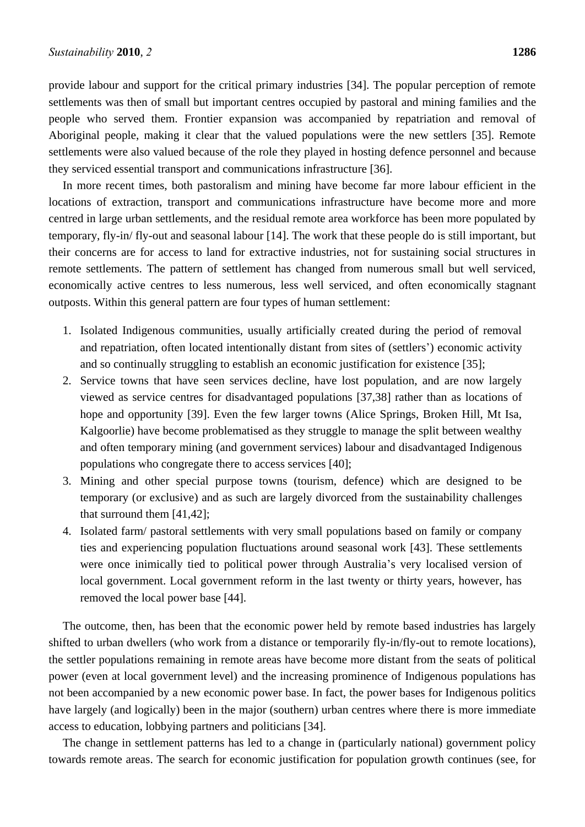provide labour and support for the critical primary industries [34]. The popular perception of remote settlements was then of small but important centres occupied by pastoral and mining families and the people who served them. Frontier expansion was accompanied by repatriation and removal of Aboriginal people, making it clear that the valued populations were the new settlers [35]. Remote settlements were also valued because of the role they played in hosting defence personnel and because they serviced essential transport and communications infrastructure [36].

In more recent times, both pastoralism and mining have become far more labour efficient in the locations of extraction, transport and communications infrastructure have become more and more centred in large urban settlements, and the residual remote area workforce has been more populated by temporary, fly-in/ fly-out and seasonal labour [14]. The work that these people do is still important, but their concerns are for access to land for extractive industries, not for sustaining social structures in remote settlements. The pattern of settlement has changed from numerous small but well serviced, economically active centres to less numerous, less well serviced, and often economically stagnant outposts. Within this general pattern are four types of human settlement:

- 1. Isolated Indigenous communities, usually artificially created during the period of removal and repatriation, often located intentionally distant from sites of (settlers') economic activity and so continually struggling to establish an economic justification for existence [35];
- 2. Service towns that have seen services decline, have lost population, and are now largely viewed as service centres for disadvantaged populations [37,38] rather than as locations of hope and opportunity [39]. Even the few larger towns (Alice Springs, Broken Hill, Mt Isa, Kalgoorlie) have become problematised as they struggle to manage the split between wealthy and often temporary mining (and government services) labour and disadvantaged Indigenous populations who congregate there to access services [40];
- 3. Mining and other special purpose towns (tourism, defence) which are designed to be temporary (or exclusive) and as such are largely divorced from the sustainability challenges that surround them [41,42];
- 4. Isolated farm/ pastoral settlements with very small populations based on family or company ties and experiencing population fluctuations around seasonal work [43]. These settlements were once inimically tied to political power through Australia's very localised version of local government. Local government reform in the last twenty or thirty years, however, has removed the local power base [44].

The outcome, then, has been that the economic power held by remote based industries has largely shifted to urban dwellers (who work from a distance or temporarily fly-in/fly-out to remote locations), the settler populations remaining in remote areas have become more distant from the seats of political power (even at local government level) and the increasing prominence of Indigenous populations has not been accompanied by a new economic power base. In fact, the power bases for Indigenous politics have largely (and logically) been in the major (southern) urban centres where there is more immediate access to education, lobbying partners and politicians [34].

The change in settlement patterns has led to a change in (particularly national) government policy towards remote areas. The search for economic justification for population growth continues (see, for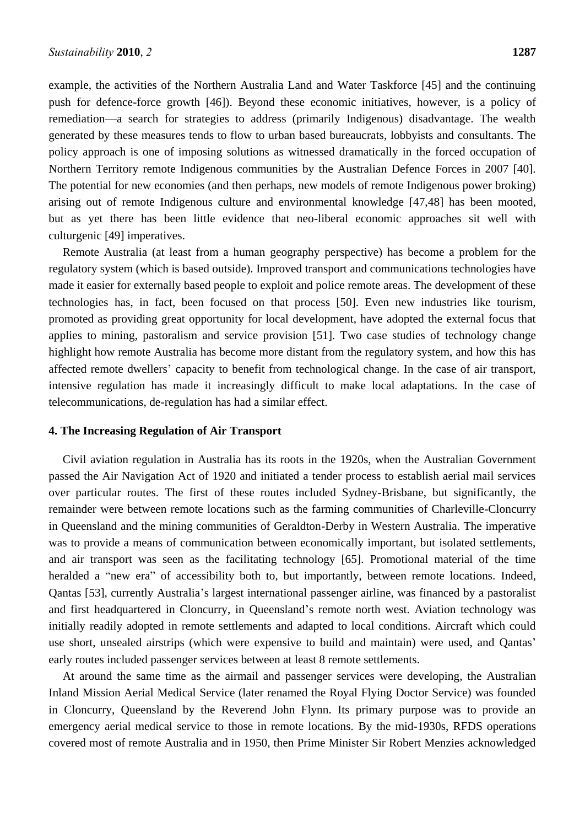example, the activities of the Northern Australia Land and Water Taskforce [45] and the continuing push for defence-force growth [46]). Beyond these economic initiatives, however, is a policy of remediation—a search for strategies to address (primarily Indigenous) disadvantage. The wealth generated by these measures tends to flow to urban based bureaucrats, lobbyists and consultants. The policy approach is one of imposing solutions as witnessed dramatically in the forced occupation of Northern Territory remote Indigenous communities by the Australian Defence Forces in 2007 [40]. The potential for new economies (and then perhaps, new models of remote Indigenous power broking) arising out of remote Indigenous culture and environmental knowledge [47,48] has been mooted, but as yet there has been little evidence that neo-liberal economic approaches sit well with culturgenic [49] imperatives.

Remote Australia (at least from a human geography perspective) has become a problem for the regulatory system (which is based outside). Improved transport and communications technologies have made it easier for externally based people to exploit and police remote areas. The development of these technologies has, in fact, been focused on that process [50]. Even new industries like tourism, promoted as providing great opportunity for local development, have adopted the external focus that applies to mining, pastoralism and service provision [51]. Two case studies of technology change highlight how remote Australia has become more distant from the regulatory system, and how this has affected remote dwellers' capacity to benefit from technological change. In the case of air transport, intensive regulation has made it increasingly difficult to make local adaptations. In the case of telecommunications, de-regulation has had a similar effect.

### **4. The Increasing Regulation of Air Transport**

Civil aviation regulation in Australia has its roots in the 1920s, when the Australian Government passed the Air Navigation Act of 1920 and initiated a tender process to establish aerial mail services over particular routes. The first of these routes included Sydney-Brisbane, but significantly, the remainder were between remote locations such as the farming communities of Charleville-Cloncurry in Queensland and the mining communities of Geraldton-Derby in Western Australia. The imperative was to provide a means of communication between economically important, but isolated settlements, and air transport was seen as the facilitating technology [65]. Promotional material of the time heralded a "new era" of accessibility both to, but importantly, between remote locations. Indeed, Qantas [53], currently Australia's largest international passenger airline, was financed by a pastoralist and first headquartered in Cloncurry, in Queensland's remote north west. Aviation technology was initially readily adopted in remote settlements and adapted to local conditions. Aircraft which could use short, unsealed airstrips (which were expensive to build and maintain) were used, and Qantas' early routes included passenger services between at least 8 remote settlements.

At around the same time as the airmail and passenger services were developing, the Australian Inland Mission Aerial Medical Service (later renamed the Royal Flying Doctor Service) was founded in Cloncurry, Queensland by the Reverend John Flynn. Its primary purpose was to provide an emergency aerial medical service to those in remote locations. By the mid-1930s, RFDS operations covered most of remote Australia and in 1950, then Prime Minister Sir Robert Menzies acknowledged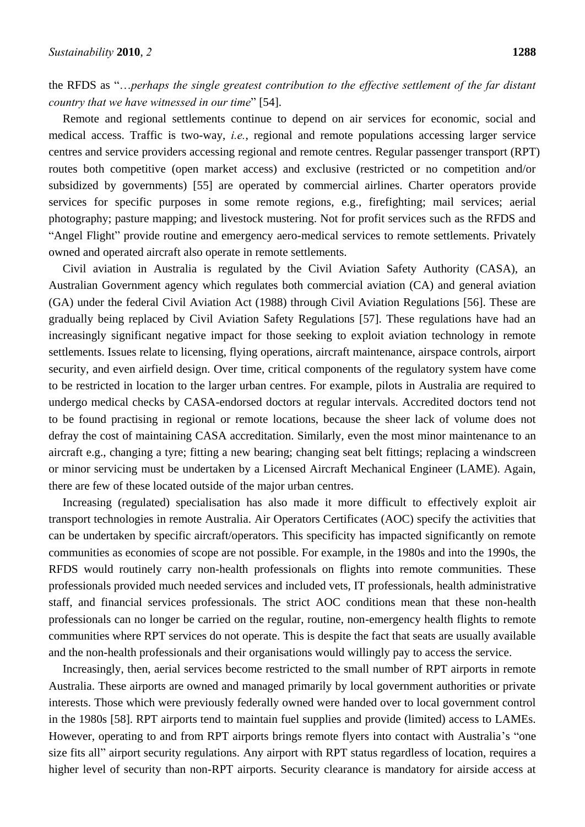the RFDS as "...perhaps the single greatest contribution to the effective settlement of the far distant *country that we have witnessed in our time*" [54].

Remote and regional settlements continue to depend on air services for economic, social and medical access. Traffic is two-way, *i.e.*, regional and remote populations accessing larger service centres and service providers accessing regional and remote centres. Regular passenger transport (RPT) routes both competitive (open market access) and exclusive (restricted or no competition and/or subsidized by governments) [55] are operated by commercial airlines. Charter operators provide services for specific purposes in some remote regions, e.g., firefighting; mail services; aerial photography; pasture mapping; and livestock mustering. Not for profit services such as the RFDS and "Angel Flight" provide routine and emergency aero-medical services to remote settlements. Privately owned and operated aircraft also operate in remote settlements.

Civil aviation in Australia is regulated by the Civil Aviation Safety Authority (CASA), an Australian Government agency which regulates both commercial aviation (CA) and general aviation (GA) under the federal Civil Aviation Act (1988) through Civil Aviation Regulations [56]. These are gradually being replaced by Civil Aviation Safety Regulations [57]. These regulations have had an increasingly significant negative impact for those seeking to exploit aviation technology in remote settlements. Issues relate to licensing, flying operations, aircraft maintenance, airspace controls, airport security, and even airfield design. Over time, critical components of the regulatory system have come to be restricted in location to the larger urban centres. For example, pilots in Australia are required to undergo medical checks by CASA-endorsed doctors at regular intervals. Accredited doctors tend not to be found practising in regional or remote locations, because the sheer lack of volume does not defray the cost of maintaining CASA accreditation. Similarly, even the most minor maintenance to an aircraft e.g., changing a tyre; fitting a new bearing; changing seat belt fittings; replacing a windscreen or minor servicing must be undertaken by a Licensed Aircraft Mechanical Engineer (LAME). Again, there are few of these located outside of the major urban centres.

Increasing (regulated) specialisation has also made it more difficult to effectively exploit air transport technologies in remote Australia. Air Operators Certificates (AOC) specify the activities that can be undertaken by specific aircraft/operators. This specificity has impacted significantly on remote communities as economies of scope are not possible. For example, in the 1980s and into the 1990s, the RFDS would routinely carry non-health professionals on flights into remote communities. These professionals provided much needed services and included vets, IT professionals, health administrative staff, and financial services professionals. The strict AOC conditions mean that these non-health professionals can no longer be carried on the regular, routine, non-emergency health flights to remote communities where RPT services do not operate. This is despite the fact that seats are usually available and the non-health professionals and their organisations would willingly pay to access the service.

Increasingly, then, aerial services become restricted to the small number of RPT airports in remote Australia. These airports are owned and managed primarily by local government authorities or private interests. Those which were previously federally owned were handed over to local government control in the 1980s [58]. RPT airports tend to maintain fuel supplies and provide (limited) access to LAMEs. However, operating to and from RPT airports brings remote flyers into contact with Australia's "one size fits all" airport security regulations. Any airport with RPT status regardless of location, requires a higher level of security than non-RPT airports. Security clearance is mandatory for airside access at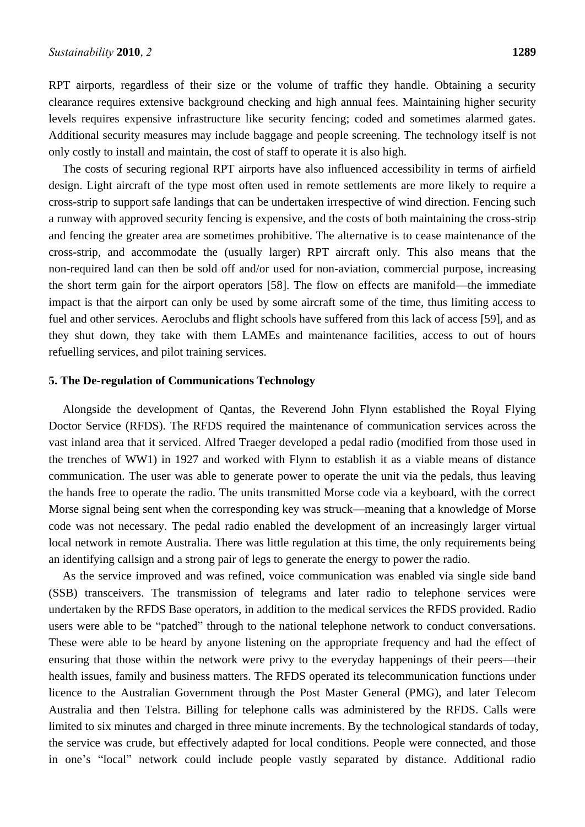RPT airports, regardless of their size or the volume of traffic they handle. Obtaining a security clearance requires extensive background checking and high annual fees. Maintaining higher security levels requires expensive infrastructure like security fencing; coded and sometimes alarmed gates. Additional security measures may include baggage and people screening. The technology itself is not only costly to install and maintain, the cost of staff to operate it is also high.

The costs of securing regional RPT airports have also influenced accessibility in terms of airfield design. Light aircraft of the type most often used in remote settlements are more likely to require a cross-strip to support safe landings that can be undertaken irrespective of wind direction. Fencing such a runway with approved security fencing is expensive, and the costs of both maintaining the cross-strip and fencing the greater area are sometimes prohibitive. The alternative is to cease maintenance of the cross-strip, and accommodate the (usually larger) RPT aircraft only. This also means that the non-required land can then be sold off and/or used for non-aviation, commercial purpose, increasing the short term gain for the airport operators [58]. The flow on effects are manifold—the immediate impact is that the airport can only be used by some aircraft some of the time, thus limiting access to fuel and other services. Aeroclubs and flight schools have suffered from this lack of access [59], and as they shut down, they take with them LAMEs and maintenance facilities, access to out of hours refuelling services, and pilot training services.

#### **5. The De-regulation of Communications Technology**

Alongside the development of Qantas, the Reverend John Flynn established the Royal Flying Doctor Service (RFDS). The RFDS required the maintenance of communication services across the vast inland area that it serviced. Alfred Traeger developed a pedal radio (modified from those used in the trenches of WW1) in 1927 and worked with Flynn to establish it as a viable means of distance communication. The user was able to generate power to operate the unit via the pedals, thus leaving the hands free to operate the radio. The units transmitted Morse code via a keyboard, with the correct Morse signal being sent when the corresponding key was struck—meaning that a knowledge of Morse code was not necessary. The pedal radio enabled the development of an increasingly larger virtual local network in remote Australia. There was little regulation at this time, the only requirements being an identifying callsign and a strong pair of legs to generate the energy to power the radio.

As the service improved and was refined, voice communication was enabled via single side band (SSB) transceivers. The transmission of telegrams and later radio to telephone services were undertaken by the RFDS Base operators, in addition to the medical services the RFDS provided. Radio users were able to be "patched" through to the national telephone network to conduct conversations. These were able to be heard by anyone listening on the appropriate frequency and had the effect of ensuring that those within the network were privy to the everyday happenings of their peers—their health issues, family and business matters. The RFDS operated its telecommunication functions under licence to the Australian Government through the Post Master General (PMG), and later Telecom Australia and then Telstra. Billing for telephone calls was administered by the RFDS. Calls were limited to six minutes and charged in three minute increments. By the technological standards of today, the service was crude, but effectively adapted for local conditions. People were connected, and those in one's "local" network could include people vastly separated by distance. Additional radio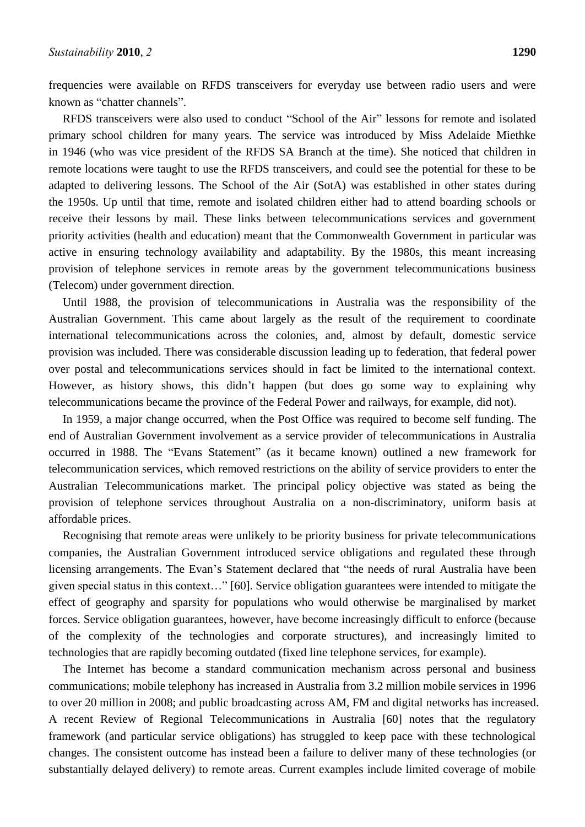frequencies were available on RFDS transceivers for everyday use between radio users and were known as "chatter channels".

RFDS transceivers were also used to conduct "School of the Air" lessons for remote and isolated primary school children for many years. The service was introduced by Miss Adelaide Miethke in 1946 (who was vice president of the RFDS SA Branch at the time). She noticed that children in remote locations were taught to use the RFDS transceivers, and could see the potential for these to be adapted to delivering lessons. The School of the Air (SotA) was established in other states during the 1950s. Up until that time, remote and isolated children either had to attend boarding schools or receive their lessons by mail. These links between telecommunications services and government priority activities (health and education) meant that the Commonwealth Government in particular was active in ensuring technology availability and adaptability. By the 1980s, this meant increasing provision of telephone services in remote areas by the government telecommunications business (Telecom) under government direction.

Until 1988, the provision of telecommunications in Australia was the responsibility of the Australian Government. This came about largely as the result of the requirement to coordinate international telecommunications across the colonies, and, almost by default, domestic service provision was included. There was considerable discussion leading up to federation, that federal power over postal and telecommunications services should in fact be limited to the international context. However, as history shows, this didn't happen (but does go some way to explaining why telecommunications became the province of the Federal Power and railways, for example, did not).

In 1959, a major change occurred, when the Post Office was required to become self funding. The end of Australian Government involvement as a service provider of telecommunications in Australia occurred in 1988. The "Evans Statement" (as it became known) outlined a new framework for telecommunication services, which removed restrictions on the ability of service providers to enter the Australian Telecommunications market. The principal policy objective was stated as being the provision of telephone services throughout Australia on a non-discriminatory, uniform basis at affordable prices.

Recognising that remote areas were unlikely to be priority business for private telecommunications companies, the Australian Government introduced service obligations and regulated these through licensing arrangements. The Evan's Statement declared that "the needs of rural Australia have been given special status in this context…‖ [60]. Service obligation guarantees were intended to mitigate the effect of geography and sparsity for populations who would otherwise be marginalised by market forces. Service obligation guarantees, however, have become increasingly difficult to enforce (because of the complexity of the technologies and corporate structures), and increasingly limited to technologies that are rapidly becoming outdated (fixed line telephone services, for example).

The Internet has become a standard communication mechanism across personal and business communications; mobile telephony has increased in Australia from 3.2 million mobile services in 1996 to over 20 million in 2008; and public broadcasting across AM, FM and digital networks has increased. A recent Review of Regional Telecommunications in Australia [60] notes that the regulatory framework (and particular service obligations) has struggled to keep pace with these technological changes. The consistent outcome has instead been a failure to deliver many of these technologies (or substantially delayed delivery) to remote areas. Current examples include limited coverage of mobile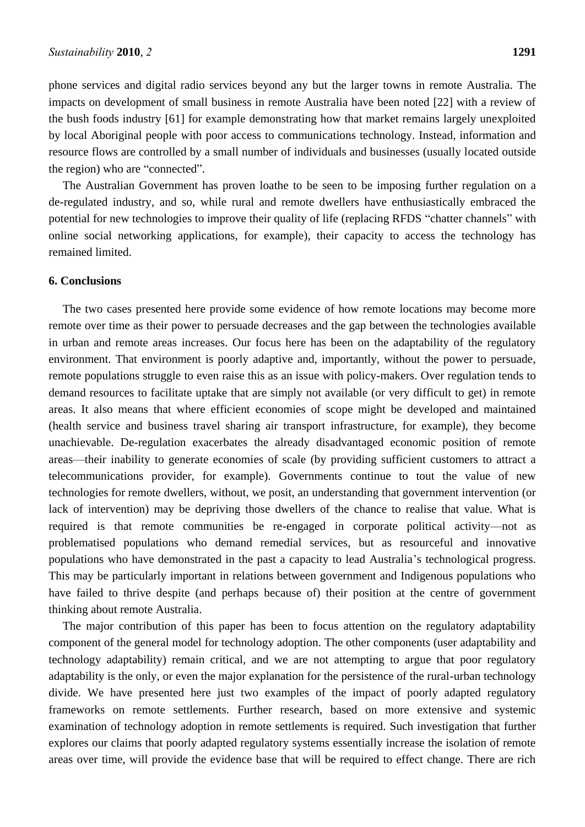phone services and digital radio services beyond any but the larger towns in remote Australia. The impacts on development of small business in remote Australia have been noted [22] with a review of the bush foods industry [61] for example demonstrating how that market remains largely unexploited by local Aboriginal people with poor access to communications technology. Instead, information and resource flows are controlled by a small number of individuals and businesses (usually located outside the region) who are "connected".

The Australian Government has proven loathe to be seen to be imposing further regulation on a de-regulated industry, and so, while rural and remote dwellers have enthusiastically embraced the potential for new technologies to improve their quality of life (replacing RFDS "chatter channels" with online social networking applications, for example), their capacity to access the technology has remained limited.

# **6. Conclusions**

The two cases presented here provide some evidence of how remote locations may become more remote over time as their power to persuade decreases and the gap between the technologies available in urban and remote areas increases. Our focus here has been on the adaptability of the regulatory environment. That environment is poorly adaptive and, importantly, without the power to persuade, remote populations struggle to even raise this as an issue with policy-makers. Over regulation tends to demand resources to facilitate uptake that are simply not available (or very difficult to get) in remote areas. It also means that where efficient economies of scope might be developed and maintained (health service and business travel sharing air transport infrastructure, for example), they become unachievable. De-regulation exacerbates the already disadvantaged economic position of remote areas—their inability to generate economies of scale (by providing sufficient customers to attract a telecommunications provider, for example). Governments continue to tout the value of new technologies for remote dwellers, without, we posit, an understanding that government intervention (or lack of intervention) may be depriving those dwellers of the chance to realise that value. What is required is that remote communities be re-engaged in corporate political activity—not as problematised populations who demand remedial services, but as resourceful and innovative populations who have demonstrated in the past a capacity to lead Australia's technological progress. This may be particularly important in relations between government and Indigenous populations who have failed to thrive despite (and perhaps because of) their position at the centre of government thinking about remote Australia.

The major contribution of this paper has been to focus attention on the regulatory adaptability component of the general model for technology adoption. The other components (user adaptability and technology adaptability) remain critical, and we are not attempting to argue that poor regulatory adaptability is the only, or even the major explanation for the persistence of the rural-urban technology divide. We have presented here just two examples of the impact of poorly adapted regulatory frameworks on remote settlements. Further research, based on more extensive and systemic examination of technology adoption in remote settlements is required. Such investigation that further explores our claims that poorly adapted regulatory systems essentially increase the isolation of remote areas over time, will provide the evidence base that will be required to effect change. There are rich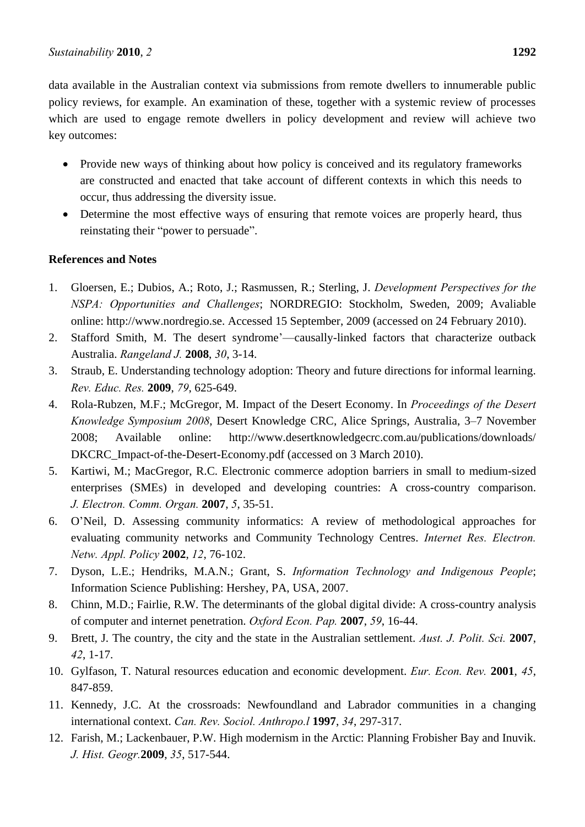data available in the Australian context via submissions from remote dwellers to innumerable public policy reviews, for example. An examination of these, together with a systemic review of processes which are used to engage remote dwellers in policy development and review will achieve two key outcomes:

- Provide new ways of thinking about how policy is conceived and its regulatory frameworks are constructed and enacted that take account of different contexts in which this needs to occur, thus addressing the diversity issue.
- Determine the most effective ways of ensuring that remote voices are properly heard, thus reinstating their "power to persuade".

# **References and Notes**

- 1. Gloersen, E.; Dubios, A.; Roto, J.; Rasmussen, R.; Sterling, J. *Development Perspectives for the NSPA: Opportunities and Challenges*; NORDREGIO: Stockholm, Sweden, 2009; Avaliable online: http://www.nordregio.se. Accessed 15 September, 2009 (accessed on 24 February 2010).
- 2. Stafford Smith, M. The desert syndrome'—causally-linked factors that characterize outback Australia. *Rangeland J.* **2008**, *30*, 3-14.
- 3. Straub, E. Understanding technology adoption: Theory and future directions for informal learning. *Rev. Educ. Res.* **2009**, *79*, 625-649.
- 4. Rola-Rubzen, M.F.; McGregor, M. Impact of the Desert Economy. In *Proceedings of the Desert Knowledge Symposium 2008*, Desert Knowledge CRC, Alice Springs, Australia, 3–7 November 2008; Available online: http://www.desertknowledgecrc.com.au/publications/downloads/ DKCRC\_Impact-of-the-Desert-Economy.pdf (accessed on 3 March 2010).
- 5. Kartiwi, M.; MacGregor, R.C. Electronic commerce adoption barriers in small to medium-sized enterprises (SMEs) in developed and developing countries: A cross-country comparison. *J. Electron. Comm. Organ.* **2007**, *5*, 35-51.
- 6. O'Neil, D. Assessing community informatics: A review of methodological approaches for evaluating community networks and Community Technology Centres. *Internet Res. Electron. Netw. Appl. Policy* **2002**, *12*, 76-102.
- 7. Dyson, L.E.; Hendriks, M.A.N.; Grant, S. *Information Technology and Indigenous People*; Information Science Publishing: Hershey, PA, USA, 2007.
- 8. Chinn, M.D.; Fairlie, R.W. The determinants of the global digital divide: A cross-country analysis of computer and internet penetration. *Oxford Econ. Pap.* **2007**, *59*, 16-44.
- 9. Brett, J. The country, the city and the state in the Australian settlement. *Aust. J. Polit. Sci.* **2007**, *42*, 1-17.
- 10. Gylfason, T. Natural resources education and economic development. *Eur. Econ. Rev.* **2001**, *45*, 847-859.
- 11. Kennedy, J.C. At the crossroads: Newfoundland and Labrador communities in a changing international context. *Can. Rev. Sociol. Anthropo.l* **1997**, *34*, 297-317.
- 12. Farish, M.; Lackenbauer, P.W. High modernism in the Arctic: Planning Frobisher Bay and Inuvik. *J. Hist. Geogr.***2009**, *35*, 517-544.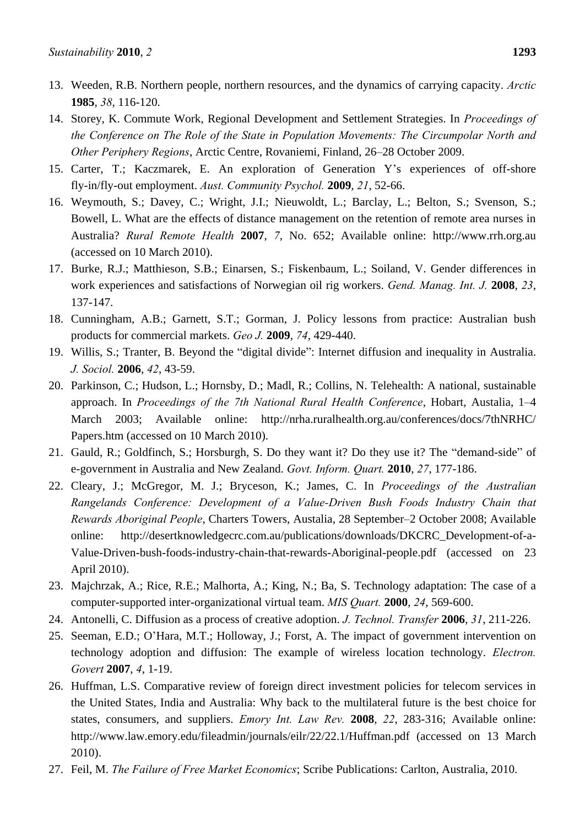- 13. Weeden, R.B. Northern people, northern resources, and the dynamics of carrying capacity. *Arctic*  **1985**, *38*, 116-120.
- 14. Storey, K. Commute Work, Regional Development and Settlement Strategies. In *Proceedings of the Conference on The Role of the State in Population Movements: The Circumpolar North and Other Periphery Regions*, Arctic Centre, Rovaniemi, Finland, 26–28 October 2009.
- 15. Carter, T.; Kaczmarek, E. An exploration of Generation Y's experiences of off-shore fly-in/fly-out employment. *Aust. Community Psychol.* **2009**, *21*, 52-66.
- 16. Weymouth, S.; Davey, C.; Wright, J.I.; Nieuwoldt, L.; Barclay, L.; Belton, S.; Svenson, S.; Bowell, L. What are the effects of distance management on the retention of remote area nurses in Australia? *Rural Remote Health* **2007**, *7*, No. 652; Available online: http://www.rrh.org.au (accessed on 10 March 2010).
- 17. Burke, R.J.; Matthieson, S.B.; Einarsen, S.; Fiskenbaum, L.; Soiland, V. Gender differences in work experiences and satisfactions of Norwegian oil rig workers. *Gend. Manag. Int. J.* **2008**, *23*, 137-147.
- 18. Cunningham, A.B.; Garnett, S.T.; Gorman, J. Policy lessons from practice: Australian bush products for commercial markets. *Geo J.* **2009**, *74*, 429-440.
- 19. Willis, S.; Tranter, B. Beyond the "digital divide": Internet diffusion and inequality in Australia. *J. Sociol.* **2006**, *42*, 43-59.
- 20. Parkinson, C.; Hudson, L.; Hornsby, D.; Madl, R.; Collins, N. Telehealth: A national, sustainable approach. In *Proceedings of the 7th National Rural Health Conference*, Hobart, Austalia, 1–4 March 2003; Available online: http://nrha.ruralhealth.org.au/conferences/docs/7thNRHC/ Papers.htm (accessed on 10 March 2010).
- 21. Gauld, R.; Goldfinch, S.; Horsburgh, S. Do they want it? Do they use it? The "demand-side" of e-government in Australia and New Zealand. *Govt. Inform. Quart.* **2010**, *27*, 177-186.
- 22. Cleary, J.; McGregor, M. J.; Bryceson, K.; James, C. In *Proceedings of the Australian Rangelands Conference: Development of a Value-Driven Bush Foods Industry Chain that Rewards Aboriginal People*, Charters Towers, Austalia, 28 September–2 October 2008; Available online: http://desertknowledgecrc.com.au/publications/downloads/DKCRC\_Development-of-a-Value-Driven-bush-foods-industry-chain-that-rewards-Aboriginal-people.pdf (accessed on 23 April 2010).
- 23. Majchrzak, A.; Rice, R.E.; Malhorta, A.; King, N.; Ba, S. Technology adaptation: The case of a computer-supported inter-organizational virtual team. *MIS Quart.* **2000**, *24*, 569-600.
- 24. Antonelli, C. Diffusion as a process of creative adoption. *J. Technol. Transfer* **2006**, *31*, 211-226.
- 25. Seeman, E.D.; O'Hara, M.T.; Holloway, J.; Forst, A. The impact of government intervention on technology adoption and diffusion: The example of wireless location technology. *Electron. Govert* **2007**, *4*, 1-19.
- 26. Huffman, L.S. Comparative review of foreign direct investment policies for telecom services in the United States, India and Australia: Why back to the multilateral future is the best choice for states, consumers, and suppliers. *Emory Int. Law Rev.* **2008**, *22*, 283-316; Available online: http://www.law.emory.edu/fileadmin/journals/eilr/22/22.1/Huffman.pdf (accessed on 13 March 2010).
- 27. Feil, M. *The Failure of Free Market Economics*; Scribe Publications: Carlton, Australia, 2010.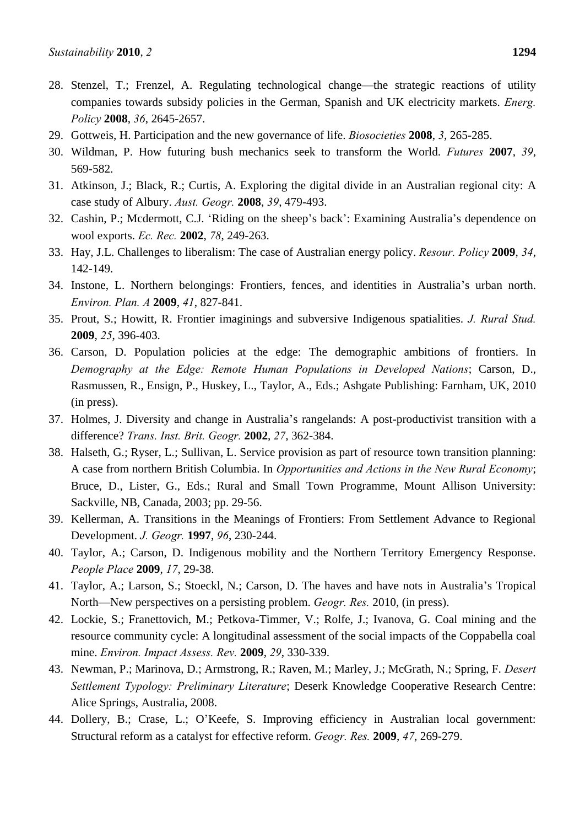- 28. Stenzel, T.; Frenzel, A. Regulating technological change—the strategic reactions of utility companies towards subsidy policies in the German, Spanish and UK electricity markets. *Energ. Policy* **2008**, *36*, 2645-2657.
- 29. Gottweis, H. Participation and the new governance of life. *Biosocieties* **2008**, *3*, 265-285.
- 30. Wildman, P. How futuring bush mechanics seek to transform the World. *Futures* **2007**, *39*, 569-582.
- 31. Atkinson, J.; Black, R.; Curtis, A. Exploring the digital divide in an Australian regional city: A case study of Albury. *Aust. Geogr.* **2008**, *39*, 479-493.
- 32. Cashin, P.; Mcdermott, C.J. ‗Riding on the sheep's back': Examining Australia's dependence on wool exports. *Ec. Rec.* **2002**, *78*, 249-263.
- 33. Hay, J.L. Challenges to liberalism: The case of Australian energy policy. *Resour. Policy* **2009**, *34*, 142-149.
- 34. Instone, L. Northern belongings: Frontiers, fences, and identities in Australia's urban north. *Environ. Plan. A* **2009**, *41*, 827-841.
- 35. Prout, S.; Howitt, R. Frontier imaginings and subversive Indigenous spatialities. *J. Rural Stud.*  **2009**, *25*, 396-403.
- 36. Carson, D. Population policies at the edge: The demographic ambitions of frontiers. In *Demography at the Edge: Remote Human Populations in Developed Nations*; Carson, D., Rasmussen, R., Ensign, P., Huskey, L., Taylor, A., Eds.; Ashgate Publishing: Farnham, UK, 2010 (in press).
- 37. Holmes, J. Diversity and change in Australia's rangelands: A post-productivist transition with a difference? *Trans. Inst. Brit. Geogr.* **2002**, *27*, 362-384.
- 38. Halseth, G.; Ryser, L.; Sullivan, L. Service provision as part of resource town transition planning: A case from northern British Columbia. In *Opportunities and Actions in the New Rural Economy*; Bruce, D., Lister, G., Eds.; Rural and Small Town Programme, Mount Allison University: Sackville, NB, Canada, 2003; pp. 29-56.
- 39. Kellerman, A. Transitions in the Meanings of Frontiers: From Settlement Advance to Regional Development. *J. Geogr.* **1997**, *96*, 230-244.
- 40. Taylor, A.; Carson, D. Indigenous mobility and the Northern Territory Emergency Response. *People Place* **2009**, *17*, 29-38.
- 41. Taylor, A.; Larson, S.; Stoeckl, N.; Carson, D. The haves and have nots in Australia's Tropical North—New perspectives on a persisting problem. *Geogr. Res.* 2010, (in press).
- 42. Lockie, S.; Franettovich, M.; Petkova-Timmer, V.; Rolfe, J.; Ivanova, G. Coal mining and the resource community cycle: A longitudinal assessment of the social impacts of the Coppabella coal mine. *Environ. Impact Assess. Rev.* **2009**, *29*, 330-339.
- 43. Newman, P.; Marinova, D.; Armstrong, R.; Raven, M.; Marley, J.; McGrath, N.; Spring, F. *Desert Settlement Typology: Preliminary Literature*; Deserk Knowledge Cooperative Research Centre: Alice Springs, Australia, 2008.
- 44. Dollery, B.; Crase, L.; O'Keefe, S. Improving efficiency in Australian local government: Structural reform as a catalyst for effective reform. *Geogr. Res.* **2009**, *47*, 269-279.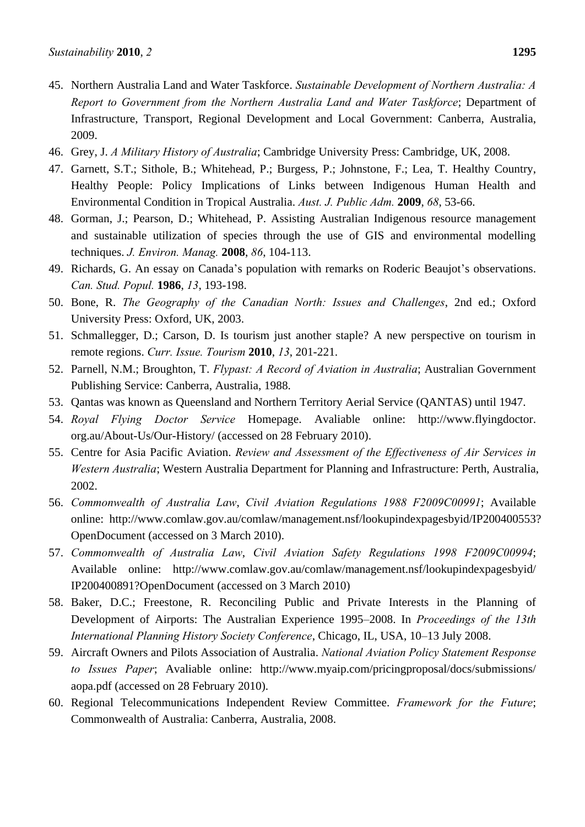- 45. Northern Australia Land and Water Taskforce. *Sustainable Development of Northern Australia: A Report to Government from the Northern Australia Land and Water Taskforce*; Department of Infrastructure, Transport, Regional Development and Local Government: Canberra, Australia, 2009.
- 46. Grey, J. *A Military History of Australia*; Cambridge University Press: Cambridge, UK, 2008.
- 47. Garnett, S.T.; Sithole, B.; Whitehead, P.; Burgess, P.; Johnstone, F.; Lea, T. Healthy Country, Healthy People: Policy Implications of Links between Indigenous Human Health and Environmental Condition in Tropical Australia. *Aust. J. Public Adm.* **2009**, *68*, 53-66.
- 48. Gorman, J.; Pearson, D.; Whitehead, P. Assisting Australian Indigenous resource management and sustainable utilization of species through the use of GIS and environmental modelling techniques. *J. Environ. Manag.* **2008**, *86*, 104-113.
- 49. Richards, G. An essay on Canada's population with remarks on Roderic Beaujot's observations. *Can. Stud. Popul.* **1986**, *13*, 193-198.
- 50. Bone, R. *The Geography of the Canadian North: Issues and Challenges*, 2nd ed.; Oxford University Press: Oxford, UK, 2003.
- 51. Schmallegger, D.; Carson, D. Is tourism just another staple? A new perspective on tourism in remote regions. *Curr. Issue. Tourism* **2010**, *13*, 201-221.
- 52. Parnell, N.M.; Broughton, T. *Flypast: A Record of Aviation in Australia*; Australian Government Publishing Service: Canberra, Australia, 1988.
- 53. Qantas was known as Queensland and Northern Territory Aerial Service (QANTAS) until 1947.
- 54. *Royal Flying Doctor Service* Homepage. Avaliable online: http://www.flyingdoctor. org.au/About-Us/Our-History/ (accessed on 28 February 2010).
- 55. Centre for Asia Pacific Aviation. *Review and Assessment of the Effectiveness of Air Services in Western Australia*; Western Australia Department for Planning and Infrastructure: Perth, Australia, 2002.
- 56. *Commonwealth of Australia Law*, *Civil Aviation Regulations 1988 F2009C00991*; Available online: http://www.comlaw.gov.au/comlaw/management.nsf/lookupindexpagesbyid/IP200400553? OpenDocument (accessed on 3 March 2010).
- 57. *Commonwealth of Australia Law*, *Civil Aviation Safety Regulations 1998 F2009C00994*; Available online: http://www.comlaw.gov.au/comlaw/management.nsf/lookupindexpagesbyid/ IP200400891?OpenDocument (accessed on 3 March 2010)
- 58. Baker, D.C.; Freestone, R. Reconciling Public and Private Interests in the Planning of Development of Airports: The Australian Experience 1995–2008. In *Proceedings of the 13th International Planning History Society Conference*, Chicago, IL, USA, 10–13 July 2008.
- 59. Aircraft Owners and Pilots Association of Australia. *National Aviation Policy Statement Response to Issues Paper*; Avaliable online: http://www.myaip.com/pricingproposal/docs/submissions/ aopa.pdf (accessed on 28 February 2010).
- 60. Regional Telecommunications Independent Review Committee. *Framework for the Future*; Commonwealth of Australia: Canberra, Australia, 2008.